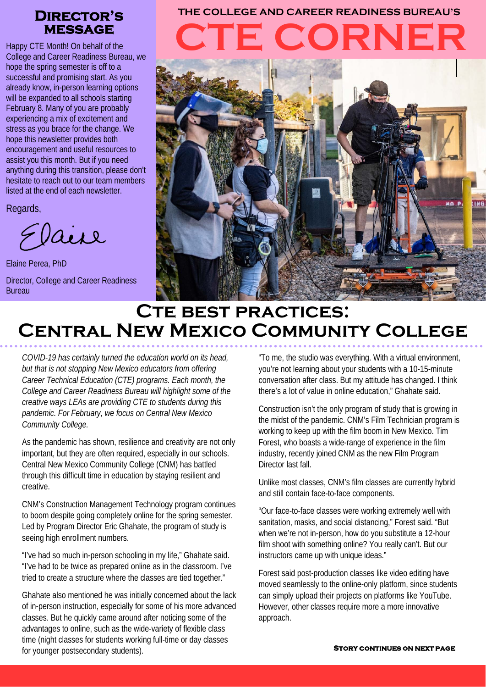# **message**

Happy CTE Month! On behalf of the College and Career Readiness Bureau, we hope the spring semester is off to a successful and promising start. As you already know, in-person learning options will be expanded to all schools starting February 8. Many of you are probably experiencing a mix of excitement and stress as you brace for the change. We hope this newsletter provides both encouragement and useful resources to assist you this month. But if you need anything during this transition, please don't hesitate to reach out to our team members listed at the end of each newsletter.

Regards,

Elaire

Elaine Perea, PhD Director, College and Career Readiness Bureau

# **CTE CORNER Director's THE COLLEGE AND CAREER READINESS BUREAU'S**



# **CTE BEST PRACTICES: Central New Mexico Community College**

*COVID-19 has certainly turned the education world on its head, but that is not stopping New Mexico educators from offering Career Technical Education (CTE) programs. Each month, the College and Career Readiness Bureau will highlight some of the creative ways LEAs are providing CTE to students during this pandemic. For February, we focus on Central New Mexico Community College.*

As the pandemic has shown, resilience and creativity are not only important, but they are often required, especially in our schools. Central New Mexico Community College (CNM) has battled through this difficult time in education by staying resilient and creative.

CNM's Construction Management Technology program continues to boom despite going completely online for the spring semester. Led by Program Director Eric Ghahate, the program of study is seeing high enrollment numbers.

"I've had so much in-person schooling in my life," Ghahate said. "I've had to be twice as prepared online as in the classroom. I've tried to create a structure where the classes are tied together."

Ghahate also mentioned he was initially concerned about the lack of in-person instruction, especially for some of his more advanced classes. But he quickly came around after noticing some of the advantages to online, such as the wide-variety of flexible class time (night classes for students working full-time or day classes for younger postsecondary students).

"To me, the studio was everything. With a virtual environment, you're not learning about your students with a 10-15-minute conversation after class. But my attitude has changed. I think there's a lot of value in online education," Ghahate said.

Construction isn't the only program of study that is growing in the midst of the pandemic. CNM's Film Technician program is working to keep up with the film boom in New Mexico. Tim Forest, who boasts a wide-range of experience in the film industry, recently joined CNM as the new Film Program Director last fall.

Unlike most classes, CNM's film classes are currently hybrid and still contain face-to-face components.

"Our face-to-face classes were working extremely well with sanitation, masks, and social distancing," Forest said. "But when we're not in-person, how do you substitute a 12-hour film shoot with something online? You really can't. But our instructors came up with unique ideas."

Forest said post-production classes like video editing have moved seamlessly to the online-only platform, since students can simply upload their projects on platforms like YouTube. However, other classes require more a more innovative approach.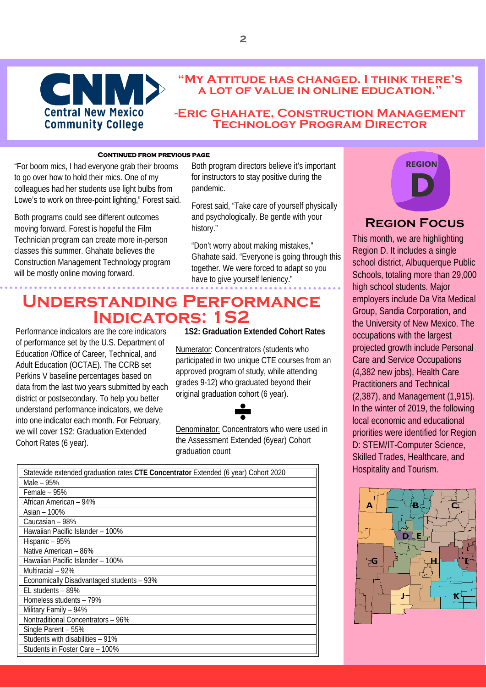

#### **"My Attitude has changed. I think there's a lot of value in online education."**

#### **-Eric Ghahate, Construction Management Technology Program Director**

#### **Continued from previous page**

"For boom mics, I had everyone grab their brooms  to go over how to hold their mics. One of my colleagues had her students use light bulbs from Lowe's to work on three-point lighting," Forest said.

Both programs could see different outcomes moving forward. Forest is hopeful the Film Technician program can create more in-person classes this summer. Ghahate believes the Construction Management Technology program will be mostly online moving forward.

Both program directors believe it's important for instructors to stay positive during the pandemic.

Forest said, "Take care of yourself physically and psychologically. Be gentle with your history."

"Don't worry about making mistakes," Ghahate said. "Everyone is going through this together. We were forced to adapt so you have to give yourself leniency."

## **Understanding Performance Indicators: 1S2**

Performance indicators are the core indicators of performance set by the U.S. Department of Education /Office of Career, Technical, and Adult Education (OCTAE). The CCRB set Perkins V baseline percentages based on data from the last two years submitted by each district or postsecondary. To help you better understand performance indicators, we delve into one indicator each month. For February, we will cover 1S2: Graduation Extended Cohort Rates (6 year).

#### **1S2: Graduation Extended Cohort Rates**

Numerator: Concentrators (students who participated in two unique CTE courses from an approved program of study, while attending grades 9-12) who graduated beyond their original graduation cohort (6 year).

Denominator: Concentrators who were used in the Assessment Extended (6year) Cohort graduation count

| Statewide extended graduation rates CTE Concentrator Extended (6 year) Cohort 2020 |
|------------------------------------------------------------------------------------|
| Male – 95%                                                                         |
| Female $-95%$                                                                      |
| African American - 94%                                                             |
| Asian - 100%                                                                       |
| Caucasian - 98%                                                                    |
| Hawaiian Pacific Islander - 100%                                                   |
| Hispanic - 95%                                                                     |
| Native American - 86%                                                              |
| Hawaiian Pacific Islander - 100%                                                   |
| Multiracial - 92%                                                                  |
| Economically Disadvantaged students - 93%                                          |
| $EL$ students $-89\%$                                                              |
| Homeless students - 79%                                                            |
| Military Family - 94%                                                              |
| Nontraditional Concentrators - 96%                                                 |
| Single Parent - 55%                                                                |
| Students with disabilities - 91%                                                   |
| Students in Foster Care - 100%                                                     |
|                                                                                    |



### **Region Focus**

This month, we are highlighting Region D. It includes a single school district, Albuquerque Public Schools, totaling more than 29,000 high school students. Major employers include Da Vita Medical Group, Sandia Corporation, and the University of New Mexico. The occupations with the largest projected growth include Personal Care and Service Occupations (4,382 new jobs), Health Care Practitioners and Technical (2,387), and Management (1,915). In the winter of 2019, the following local economic and educational priorities were identified for Region D: STEM/IT-Computer Science, Skilled Trades, Healthcare, and Hospitality and Tourism.

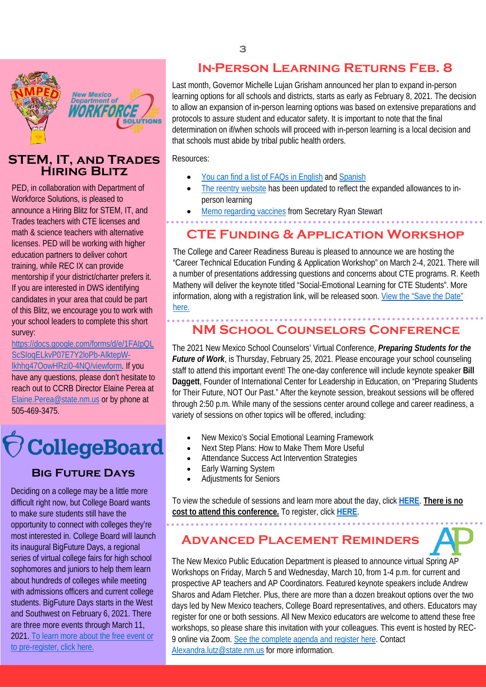

### **STEM, IT, AND TRADES** Resources **Hiring Blitz**

PED, in collaboration with Department of Workforce Solutions, is pleased to announce a Hiring Blitz for STEM, IT, and Trades teachers with CTE licenses and math & science teachers with alternative licenses. PED will be working with higher education partners to deliver cohort training, while REC IX can provide mentorship if your district/charter prefers it. If you are interested in DWS identifying candidates in your area that could be part of this Blitz, we encourage you to work with your school leaders to complete this short survey:

[https://docs.google.com/forms/d/e/1FAIpQL](https://docs.google.com/forms/d/e/1FAIpQLScSIoqELkvP07E7Y2loPb-AIktepW-lkhhq47OowHRzi0-4NQ/viewform) [ScSIoqELkvP07E7Y2loPb-AIktepW](https://docs.google.com/forms/d/e/1FAIpQLScSIoqELkvP07E7Y2loPb-AIktepW-lkhhq47OowHRzi0-4NQ/viewform)[lkhhq47OowHRzi0-4NQ/viewform.](https://docs.google.com/forms/d/e/1FAIpQLScSIoqELkvP07E7Y2loPb-AIktepW-lkhhq47OowHRzi0-4NQ/viewform) If you have any questions, please don't hesitate to reach out to CCRB Director Elaine Perea at [Elaine.Perea@state.nm.us](mailto:Elaine.Perea@state.nm.us) or by phone at 505-469-3475.



## **Big Future Days**

Deciding on a college may be a little more difficult right now, but College Board wants to make sure students still have the opportunity to connect with colleges they're most interested in. College Board will launch its inaugural BigFuture Days, a regional series of virtual college fairs for high school sophomores and juniors to help them learn about hundreds of colleges while meeting with admissions officers and current college students. BigFuture Days starts in the West and Southwest on February 6, 2021. There are three more events through March 11, 2021. [To learn more about the free event or](https://pages.collegeboard.org/big-future-days?excmpid=mtg680-st-1-gen)  [to pre-register, click here.](https://pages.collegeboard.org/big-future-days?excmpid=mtg680-st-1-gen)

## **In-Person Learning Returns Feb. 8**

Last month, Governor Michelle Lujan Grisham announced her plan to expand in-person learning options for all schools and districts, starts as early as February 8, 2021. The decision to allow an expansion of in-person learning options was based on extensive preparations and protocols to assure student and educator safety. It is important to note that the final determination on if/when schools will proceed with in-person learning is a local decision and that schools must abide by tribal public health orders.

Resources:

- You can find a list of FAQs in English and Spanish
- [The reentry website](https://bit.ly/BackToSchoolNM) has been updated to reflect the expanded allowances to inperson learning
- Memo regarding vaccines from Secretary Ryan Stewart

## **CTE Funding & Application Workshop**

The College and Career Readiness Bureau is pleased to announce we are hosting the "Career Technical Education Funding & Application Workshop" on March 2-4, 2021. There will a number of presentations addressing questions and concerns about CTE programs. R. Keeth Matheny will deliver the keynote titled "Social-Emotional Learning for CTE Students". More information, along with a registration link, will be released soon. View the "Save the Date" here.

## **NM School Counselors Conference**

The 2021 New Mexico School Counselors' Virtual Conference, *Preparing Students for the Future of Work*, is Thursday, February 25, 2021. Please encourage your school counseling staff to attend this important event! The one-day conference will include keynote speaker **Bill Daggett**, Founder of International Center for Leadership in Education, on "Preparing Students for Their Future, NOT Our Past." After the keynote session, breakout sessions will be offered through 2:50 p.m. While many of the sessions center around college and career readiness, a variety of sessions on other topics will be offered, including:

- New Mexico's Social Emotional Learning Framework
- Next Step Plans: How to Make Them More Useful
- Attendance Success Act Intervention Strategies
- Early Warning System
- Adjustments for Seniors

To view the schedule of sessions and learn more about the day, click **[HERE](https://protect-us.mimecast.com/s/Irn-CBB2ZKFzr90ofzuJPb?domain=schoolcounselors-nm.com/)**. **There is no cost to attend this conference.** To register, click **[HERE](https://protect-us.mimecast.com/s/wNFkCDk2jMuDzKwPt5wKrI?domain=survey.zohopublic.com)**.

**Advanced Placement Reminders**

The New Mexico Public Education Department is pleased to announce virtual Spring AP Workshops on Friday, March 5 and Wednesday, March 10, from 1-4 p.m. for current and prospective AP teachers and AP Coordinators. Featured keynote speakers include Andrew Sharos and Adam Fletcher. Plus, there are more than a dozen breakout options over the two days led by New Mexico teachers, College Board representatives, and others. Educators may register for one or both sessions. All New Mexico educators are welcome to attend these free workshops, so please share this invitation with your colleagues. This event is hosted by REC-9 online via Zoom. [See the complete agenda and register here.](https://cvent.me/rqq2V1) Contact [Alexandra.lutz@state.nm.us](mailto:Alexandra.lutz@state.nm.us) for more information.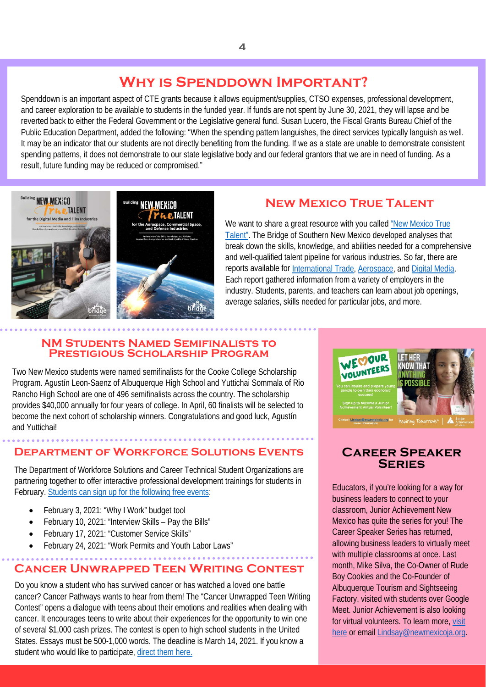## **Why is Spenddown Important?**

Spenddown is an important aspect of CTE grants because it allows equipment/supplies, CTSO expenses, professional development, and career exploration to be available to students in the funded year. If funds are not spent by June 30, 2021, they will lapse and be reverted back to either the Federal Government or the Legislative general fund. Susan Lucero, the Fiscal Grants Bureau Chief of the Public Education Department, added the following: "When the spending pattern languishes, the direct services typically languish as well. It may be an indicator that our students are not directly benefiting from the funding. If we as a state are unable to demonstrate consistent spending patterns, it does not demonstrate to our state legislative body and our federal grantors that we are in need of funding. As a result, future funding may be reduced or compromised."



## **New Mexico True Talent**

We want to share a great resource with you called "New Mexico True [Talent".](https://newmexicotruetalent.org/) The Bridge of Southern New Mexico developed analyses that break down the skills, knowledge, and abilities needed for a comprehensive and well-qualified talent pipeline for various industries. So far, there are reports available for International Trade, Aerospace, and Digital Media. Each report gathered information from a variety of employers in the industry. Students, parents, and teachers can learn about job openings, average salaries, skills needed for particular jobs, and more.

#### **NM Students Named Semifinalists to Prestigious Scholarship Program**

Two New Mexico students were named semifinalists for the Cooke College Scholarship Program. Agustín Leon-Saenz of Albuquerque High School and Yuttichai Sommala of Rio Rancho High School are one of 496 semifinalists across the country. The scholarship provides \$40,000 annually for four years of college. In April, 60 finalists will be selected to become the next cohort of scholarship winners. Congratulations and good luck, Agustín and Yuttichai!

## **Department of Workforce Solutions Events**

The Department of Workforce Solutions and Career Technical Student Organizations are partnering together to offer interactive professional development trainings for students in February. [Students can sign up for the following free events:](https://www.nmtsa.com/calendar)

- February 3, 2021: "Why I Work" budget tool
- February 10, 2021: "Interview Skills Pay the Bills"
- February 17, 2021: "Customer Service Skills"
- February 24, 2021: "Work Permits and Youth Labor Laws"

## **Cancer Unwrapped Teen Writing Contest**

Do you know a student who has survived cancer or has watched a loved one battle cancer? Cancer Pathways wants to hear from them! The "Cancer Unwrapped Teen Writing Contest" opens a dialogue with teens about their emotions and realities when dealing with cancer. It encourages teens to write about their experiences for the opportunity to win one of several \$1,000 cash prizes. The contest is open to high school students in the United States. Essays must be 500-1,000 words. The deadline is March 14, 2021. If you know a student who would like to participate, [direct them here.](https://webnew.ped.state.nm.us/bureaus/college-career-readiness/college-acceleration/early-college-high-schools/)



### **Career Speaker Series**

Educators, if you're looking for a way for business leaders to connect to your classroom, Junior Achievement New Mexico has quite the series for you! The Career Speaker Series has returned, allowing business leaders to virtually meet with multiple classrooms at once. Last month, Mike Silva, the Co-Owner of Rude Boy Cookies and the Co-Founder of Albuquerque Tourism and Sightseeing Factory, visited with students over Google Meet. Junior Achievement is also looking for virtual volunteers. To learn more[, visit](https://docs.google.com/forms/d/e/1FAIpQLScmq5f328AXegl08JVPi3eCfzv1mwZ9cAXbFGGfKe9M1zKIAg/viewform)  [here](https://docs.google.com/forms/d/e/1FAIpQLScmq5f328AXegl08JVPi3eCfzv1mwZ9cAXbFGGfKe9M1zKIAg/viewform) or email [Lindsay@newmexicoja.org.](mailto:Lindsay@newmexicoja.org)